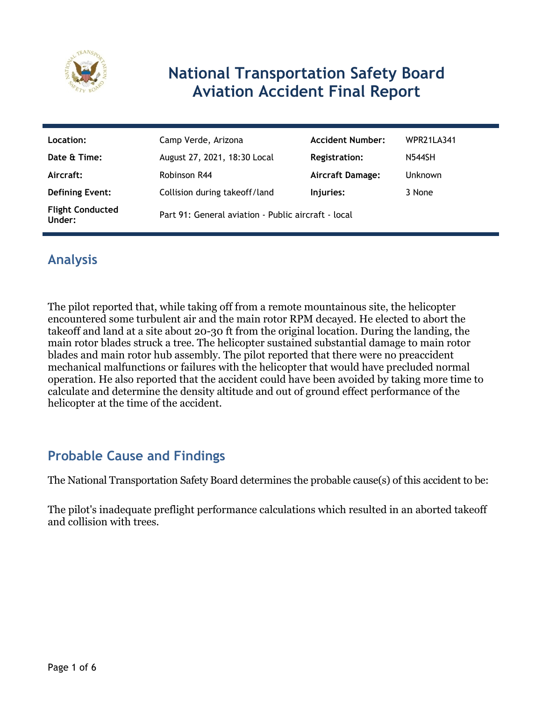

# **National Transportation Safety Board Aviation Accident Final Report**

| Location:                         | Camp Verde, Arizona                                 | <b>Accident Number:</b> | WPR21LA341     |
|-----------------------------------|-----------------------------------------------------|-------------------------|----------------|
| Date & Time:                      | August 27, 2021, 18:30 Local                        | <b>Registration:</b>    | <b>N544SH</b>  |
| Aircraft:                         | Robinson R44                                        | <b>Aircraft Damage:</b> | <b>Unknown</b> |
| <b>Defining Event:</b>            | Collision during takeoff/land                       | Injuries:               | 3 None         |
| <b>Flight Conducted</b><br>Under: | Part 91: General aviation - Public aircraft - local |                         |                |

# **Analysis**

The pilot reported that, while taking off from a remote mountainous site, the helicopter encountered some turbulent air and the main rotor RPM decayed. He elected to abort the takeoff and land at a site about 20-30 ft from the original location. During the landing, the main rotor blades struck a tree. The helicopter sustained substantial damage to main rotor blades and main rotor hub assembly. The pilot reported that there were no preaccident mechanical malfunctions or failures with the helicopter that would have precluded normal operation. He also reported that the accident could have been avoided by taking more time to calculate and determine the density altitude and out of ground effect performance of the helicopter at the time of the accident.

## **Probable Cause and Findings**

The National Transportation Safety Board determines the probable cause(s) of this accident to be:

The pilot's inadequate preflight performance calculations which resulted in an aborted takeoff and collision with trees.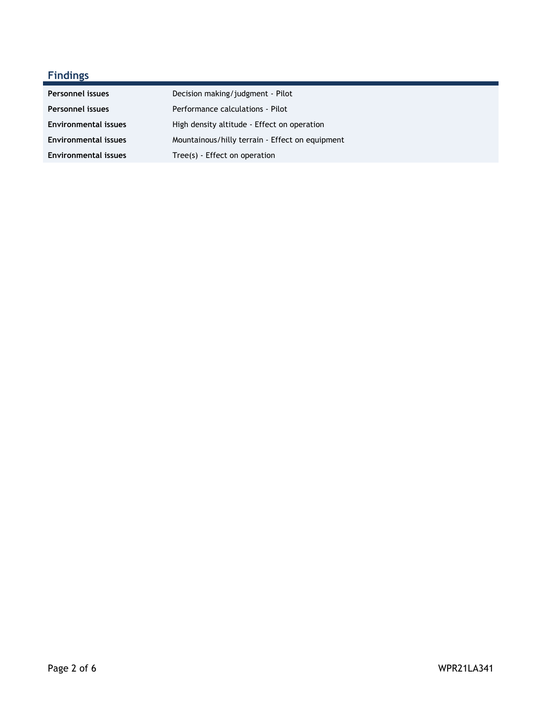## **Findings**

| <b>Personnel issues</b>     | Decision making/judgment - Pilot                |
|-----------------------------|-------------------------------------------------|
| <b>Personnel issues</b>     | Performance calculations - Pilot                |
| <b>Environmental issues</b> | High density altitude - Effect on operation     |
| <b>Environmental issues</b> | Mountainous/hilly terrain - Effect on equipment |
| <b>Environmental issues</b> | Tree(s) - Effect on operation                   |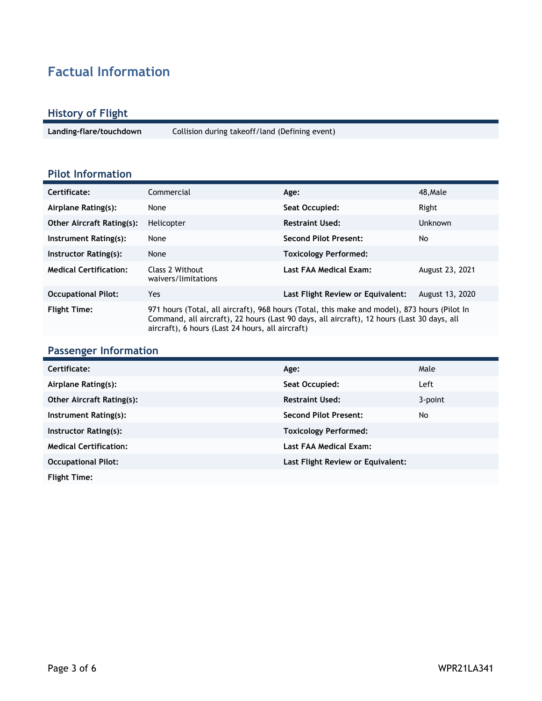# **Factual Information**

#### **History of Flight**

**Landing-flare/touchdown** Collision during takeoff/land (Defining event)

### **Pilot Information**

| Certificate:                     | Commercial                                                                                                                                                                                                                                     | Age:                              | 48, Male        |
|----------------------------------|------------------------------------------------------------------------------------------------------------------------------------------------------------------------------------------------------------------------------------------------|-----------------------------------|-----------------|
| Airplane Rating(s):              | None                                                                                                                                                                                                                                           | Seat Occupied:                    | Right           |
| <b>Other Aircraft Rating(s):</b> | Helicopter                                                                                                                                                                                                                                     | <b>Restraint Used:</b>            | Unknown         |
| Instrument Rating(s):            | None                                                                                                                                                                                                                                           | <b>Second Pilot Present:</b>      | No              |
| Instructor Rating(s):            | None                                                                                                                                                                                                                                           | <b>Toxicology Performed:</b>      |                 |
| <b>Medical Certification:</b>    | Class 2 Without<br>waivers/limitations                                                                                                                                                                                                         | Last FAA Medical Exam:            | August 23, 2021 |
| <b>Occupational Pilot:</b>       | Yes                                                                                                                                                                                                                                            | Last Flight Review or Equivalent: | August 13, 2020 |
| <b>Flight Time:</b>              | 971 hours (Total, all aircraft), 968 hours (Total, this make and model), 873 hours (Pilot In<br>Command, all aircraft), 22 hours (Last 90 days, all aircraft), 12 hours (Last 30 days, all<br>aircraft), 6 hours (Last 24 hours, all aircraft) |                                   |                 |

#### **Passenger Information**

| Certificate:                     | Age:                              | Male    |
|----------------------------------|-----------------------------------|---------|
| Airplane Rating(s):              | Seat Occupied:                    | Left    |
| <b>Other Aircraft Rating(s):</b> | <b>Restraint Used:</b>            | 3-point |
| Instrument Rating(s):            | <b>Second Pilot Present:</b>      | No.     |
| Instructor Rating(s):            | <b>Toxicology Performed:</b>      |         |
| <b>Medical Certification:</b>    | Last FAA Medical Exam:            |         |
| <b>Occupational Pilot:</b>       | Last Flight Review or Equivalent: |         |
| <b>Flight Time:</b>              |                                   |         |
|                                  |                                   |         |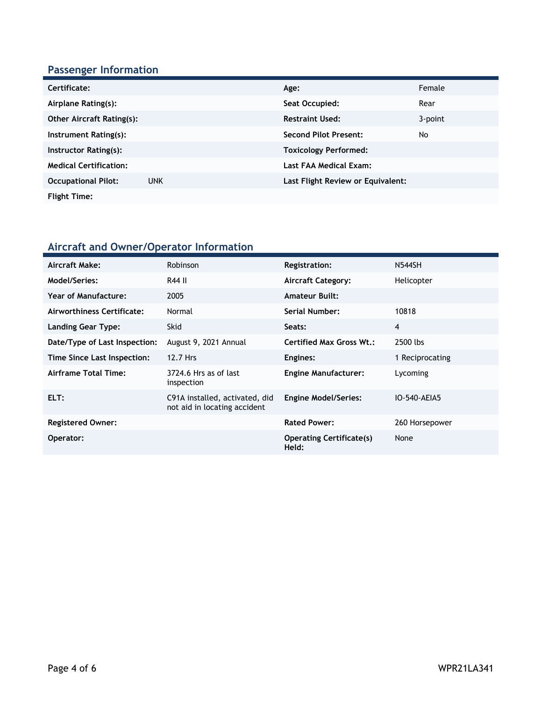### **Passenger Information**

| Certificate:                     |            | Age:                              | Female  |
|----------------------------------|------------|-----------------------------------|---------|
| Airplane Rating(s):              |            | Seat Occupied:                    | Rear    |
| <b>Other Aircraft Rating(s):</b> |            | <b>Restraint Used:</b>            | 3-point |
| Instrument Rating(s):            |            | <b>Second Pilot Present:</b>      | No      |
| Instructor Rating(s):            |            | <b>Toxicology Performed:</b>      |         |
| <b>Medical Certification:</b>    |            | Last FAA Medical Exam:            |         |
| <b>Occupational Pilot:</b>       | <b>UNK</b> | Last Flight Review or Equivalent: |         |
| <b>Flight Time:</b>              |            |                                   |         |

### **Aircraft and Owner/Operator Information**

| Aircraft Make:                | Robinson                                                       | Registration:                            | <b>N544SH</b>   |
|-------------------------------|----------------------------------------------------------------|------------------------------------------|-----------------|
| Model/Series:                 | R44 II                                                         | Aircraft Category:                       | Helicopter      |
| Year of Manufacture:          | 2005                                                           | <b>Amateur Built:</b>                    |                 |
| Airworthiness Certificate:    | Normal                                                         | <b>Serial Number:</b>                    | 10818           |
| <b>Landing Gear Type:</b>     | <b>Skid</b>                                                    | Seats:                                   | $\overline{4}$  |
| Date/Type of Last Inspection: | August 9, 2021 Annual                                          | <b>Certified Max Gross Wt.:</b>          | 2500 lbs        |
| Time Since Last Inspection:   | 12.7 Hrs                                                       | Engines:                                 | 1 Reciprocating |
| Airframe Total Time:          | 3724.6 Hrs as of last<br>inspection                            | <b>Engine Manufacturer:</b>              | Lycoming        |
| ELT:                          | C91A installed, activated, did<br>not aid in locating accident | <b>Engine Model/Series:</b>              | IO-540-AEIA5    |
| <b>Registered Owner:</b>      |                                                                | <b>Rated Power:</b>                      | 260 Horsepower  |
| Operator:                     |                                                                | <b>Operating Certificate(s)</b><br>Held: | None            |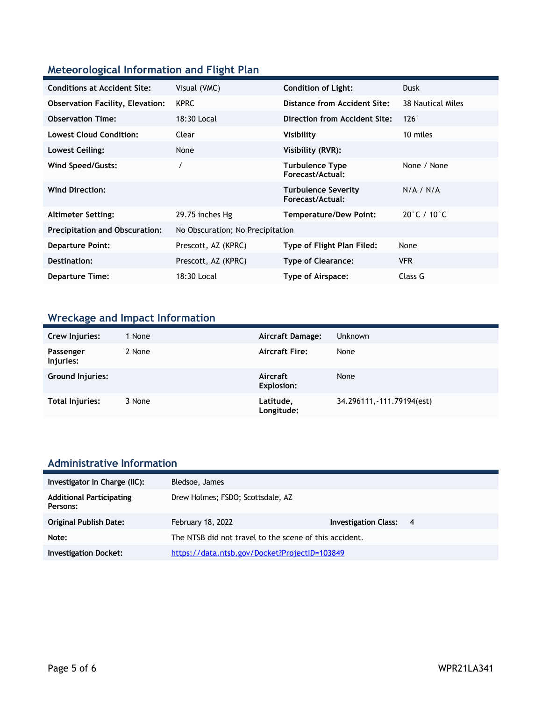### **Meteorological Information and Flight Plan**

| <b>Conditions at Accident Site:</b>     | Visual (VMC)                     | <b>Condition of Light:</b>                     | <b>Dusk</b>                      |
|-----------------------------------------|----------------------------------|------------------------------------------------|----------------------------------|
| <b>Observation Facility, Elevation:</b> | <b>KPRC</b>                      | Distance from Accident Site:                   | 38 Nautical Miles                |
| <b>Observation Time:</b>                | 18:30 Local                      | Direction from Accident Site:                  | 126°                             |
| <b>Lowest Cloud Condition:</b>          | Clear                            | Visibility                                     | 10 miles                         |
| Lowest Ceiling:                         | None                             | Visibility (RVR):                              |                                  |
| Wind Speed/Gusts:                       |                                  | <b>Turbulence Type</b><br>Forecast/Actual:     | None / None                      |
| <b>Wind Direction:</b>                  |                                  | <b>Turbulence Severity</b><br>Forecast/Actual: | N/A / N/A                        |
| <b>Altimeter Setting:</b>               | 29.75 inches Hg                  | <b>Temperature/Dew Point:</b>                  | $20^{\circ}$ C / 10 $^{\circ}$ C |
| <b>Precipitation and Obscuration:</b>   | No Obscuration; No Precipitation |                                                |                                  |
| <b>Departure Point:</b>                 | Prescott, AZ (KPRC)              | Type of Flight Plan Filed:                     | None                             |
| Destination:                            | Prescott, AZ (KPRC)              | <b>Type of Clearance:</b>                      | <b>VFR</b>                       |
| <b>Departure Time:</b>                  | 18:30 Local                      | Type of Airspace:                              | Class G                          |

## **Wreckage and Impact Information**

| Crew Injuries:          | 1 None | Aircraft Damage:              | <b>Unknown</b>             |
|-------------------------|--------|-------------------------------|----------------------------|
| Passenger<br>Injuries:  | 2 None | <b>Aircraft Fire:</b>         | None                       |
| <b>Ground Injuries:</b> |        | Aircraft<br><b>Explosion:</b> | None                       |
| Total Injuries:         | 3 None | Latitude,<br>Longitude:       | 34.296111, -111.79194(est) |

# **Administrative Information**

| Investigator In Charge (IIC):               | Bledsoe, James                                         |                               |  |
|---------------------------------------------|--------------------------------------------------------|-------------------------------|--|
| <b>Additional Participating</b><br>Persons: | Drew Holmes; FSDO; Scottsdale, AZ                      |                               |  |
| <b>Original Publish Date:</b>               | February 18, 2022                                      | <b>Investigation Class: 4</b> |  |
| Note:                                       | The NTSB did not travel to the scene of this accident. |                               |  |
| <b>Investigation Docket:</b>                | https://data.ntsb.gov/Docket?ProjectID=103849          |                               |  |